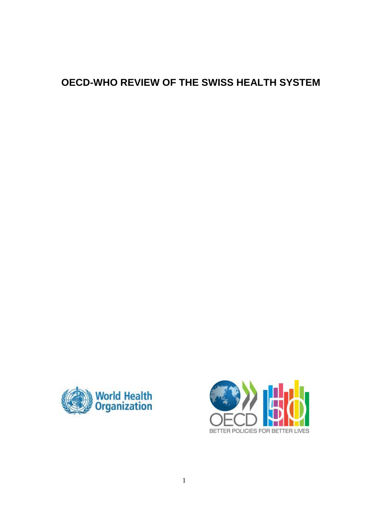# **OECD-WHO REVIEW OF THE SWISS HEALTH SYSTEM**



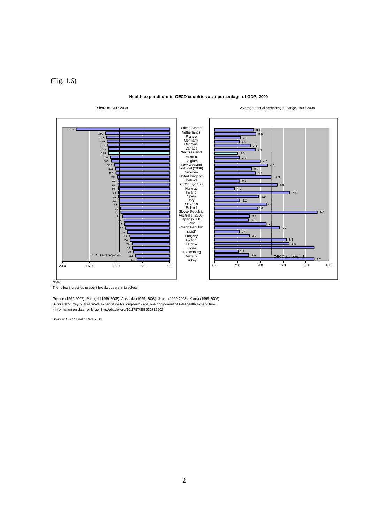(Fig. 1.6)

**Health expenditure in OECD countries as a percentage of GDP, 2009**



Greece (1999-2007), Portugal (1999-2008), Australia (1999, 2008), Japan (1999-2008), Korea (1999-2006). Sw itzerland may overestimate kyears in brackets:<br>Serece (1999-2007), Portugal (1999-2008), Australia (1999, 2008), Japan (1999-2008), Korea (1999-200<br>Switzerland may overestimate expenditure for long-term care, one compon \* Information on data for Israel: http://dx.doi.org/10.1787/888932315602.

Source: OECD Health Data 2011.

Share of GDP, 2009 **Average annual percentage change, 1999-2009** Average annual percentage change, 1999-2009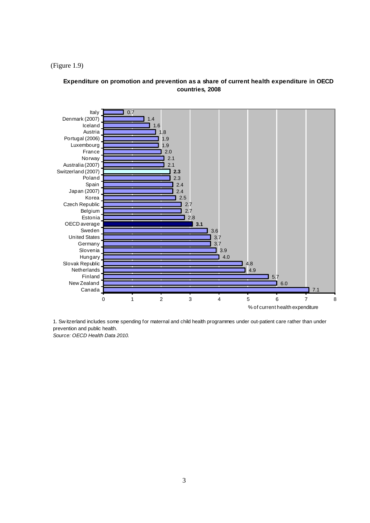### (Figure 1.9)

## **Expenditure on promotion and prevention as a share of current health expenditure in OECD countries, 2008**



*Source: OECD Health Data 2010.* prevention and public health.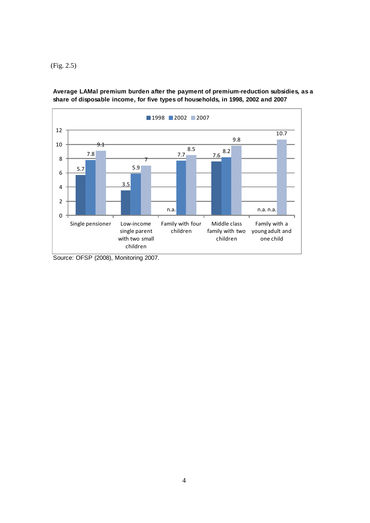(Fig. 2.5)



**Average LAMal premium burden after the payment of premium-reduction subsidies, as a share of disposable income, for five types of households, in 1998, 2002 and 2007**

Source: OFSP (2008), Monitoring 2007.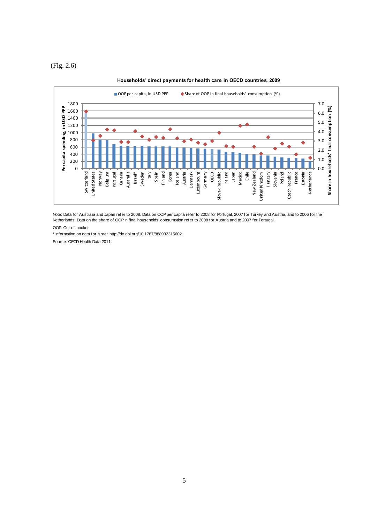(Fig. 2.6)



#### **Households' direct payments for health care in OECD countries, 2009**

Note: Data for Australia and Japan refer to 2008. Data on OOP per capita refer to 2008 for Portugal, 2007 for Turkey and Austria, and to 2006 for the Netherlands. Data on the share of OOP in final households' consumption refer to 2008 for Austria and to 2007 for Portugal.

OOP: Out-of-pocket.

\* Information on data for Israel: http://dx.doi.org/10.1787/888932315602.

Source: OECD Health Data 2011.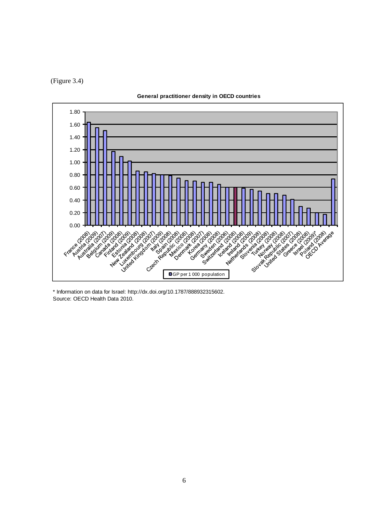(Figure 3.4)



**General practitioner density in OECD countries**

Source: OECD Health Data 2010. \* Information on data for Israel: http://dx.doi.org/10.1787/888932315602.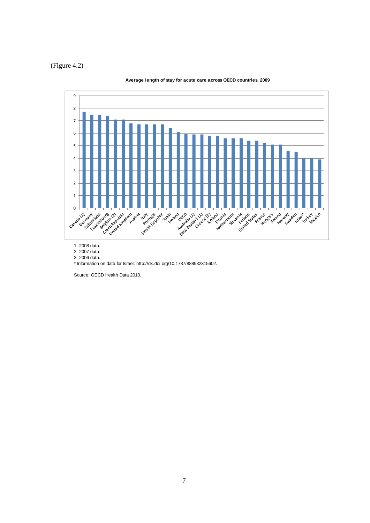# (Figure 4.2)



#### **Average length of stay for acute care across OECD countries, 2009**

1. 2008 data.

2. 2007 data.

3. 2006 data.

Source: OECD Health Data 2010.

<sup>\*</sup> Information on data for Israel: http://dx.doi.org/10.1787/888932315602.